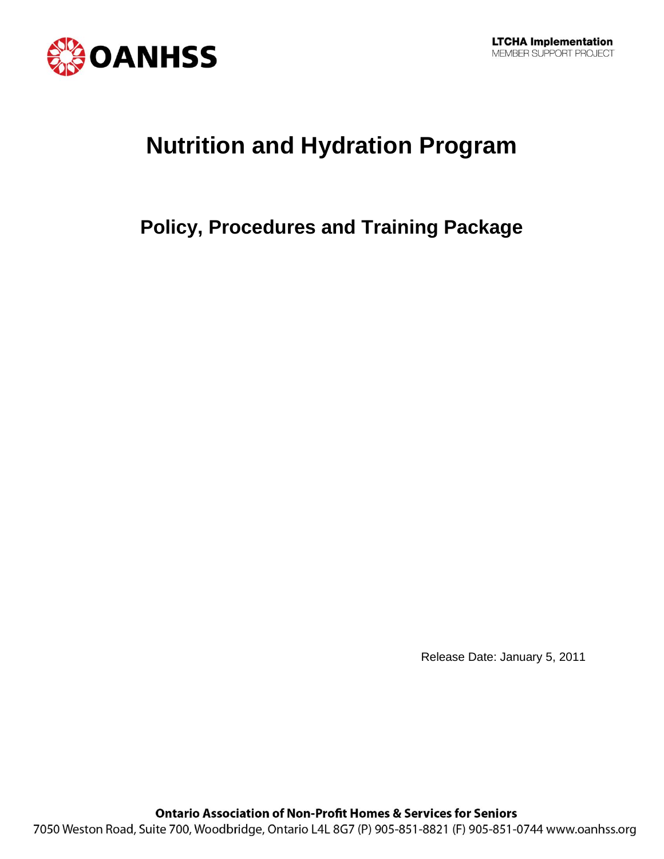

# **Nutrition and Hydration Program**

# **Policy, Procedures and Training Package**

Release Date: January 5, 2011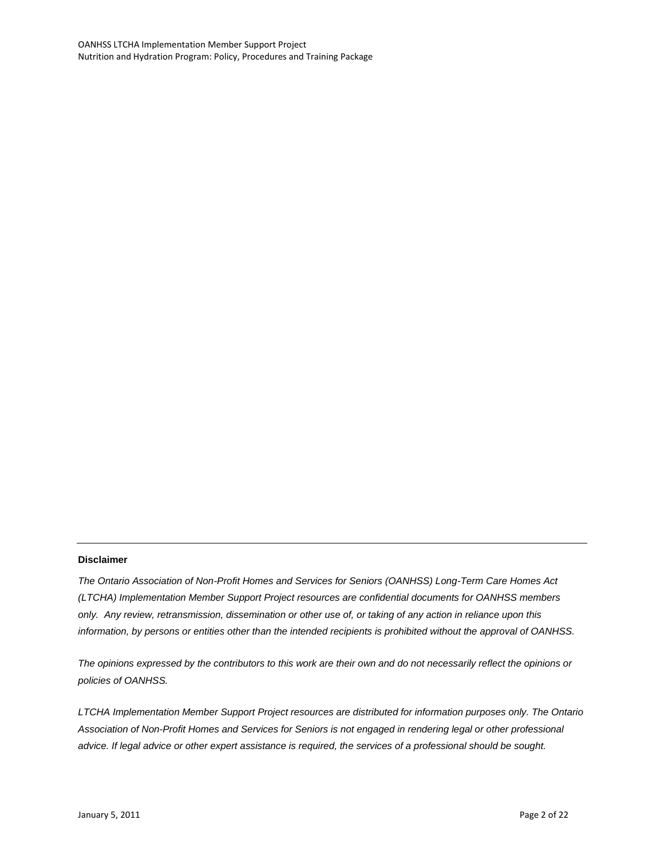#### **Disclaimer**

*The Ontario Association of Non-Profit Homes and Services for Seniors (OANHSS) Long-Term Care Homes Act (LTCHA) Implementation Member Support Project resources are confidential documents for OANHSS members only. Any review, retransmission, dissemination or other use of, or taking of any action in reliance upon this information, by persons or entities other than the intended recipients is prohibited without the approval of OANHSS.*

*The opinions expressed by the contributors to this work are their own and do not necessarily reflect the opinions or policies of OANHSS.*

*LTCHA Implementation Member Support Project resources are distributed for information purposes only. The Ontario Association of Non-Profit Homes and Services for Seniors is not engaged in rendering legal or other professional advice. If legal advice or other expert assistance is required, the services of a professional should be sought.*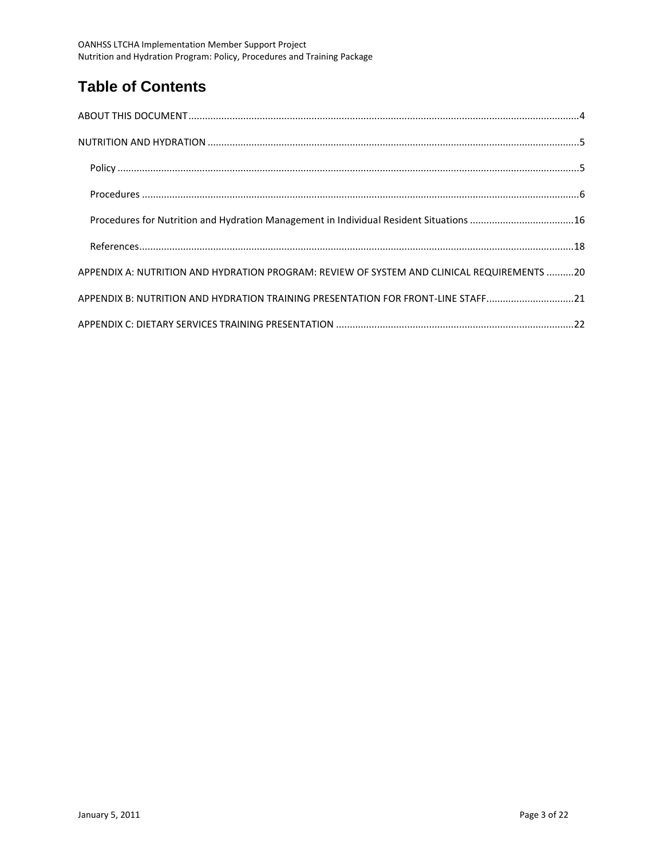# **Table of Contents**

| Procedures for Nutrition and Hydration Management in Individual Resident Situations 16     |  |
|--------------------------------------------------------------------------------------------|--|
|                                                                                            |  |
| APPENDIX A: NUTRITION AND HYDRATION PROGRAM: REVIEW OF SYSTEM AND CLINICAL REQUIREMENTS 20 |  |
| APPENDIX B: NUTRITION AND HYDRATION TRAINING PRESENTATION FOR FRONT-LINE STAFF21           |  |
|                                                                                            |  |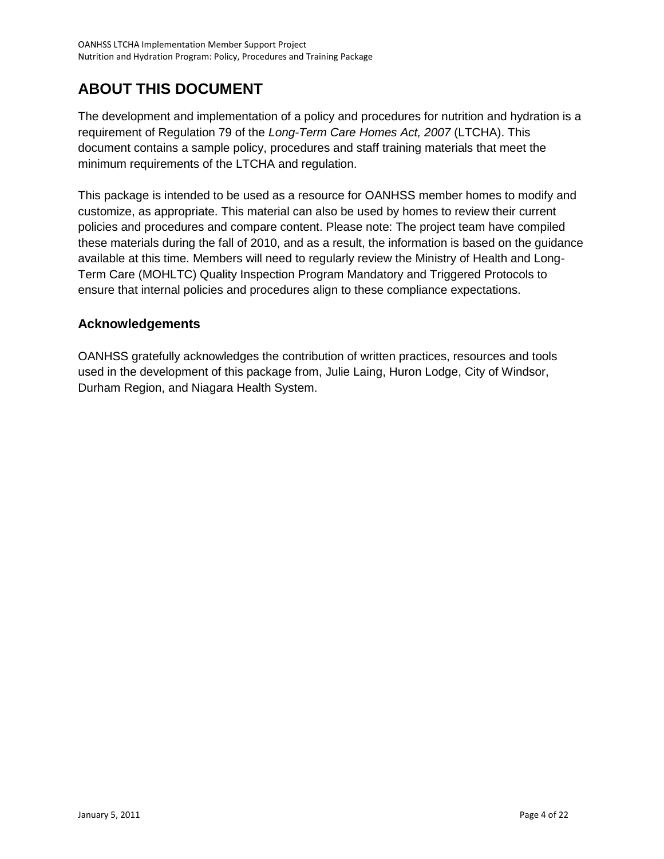# <span id="page-3-0"></span>**ABOUT THIS DOCUMENT**

The development and implementation of a policy and procedures for nutrition and hydration is a requirement of Regulation 79 of the *Long-Term Care Homes Act, 2007* (LTCHA). This document contains a sample policy, procedures and staff training materials that meet the minimum requirements of the LTCHA and regulation.

This package is intended to be used as a resource for OANHSS member homes to modify and customize, as appropriate. This material can also be used by homes to review their current policies and procedures and compare content. Please note: The project team have compiled these materials during the fall of 2010, and as a result, the information is based on the guidance available at this time. Members will need to regularly review the Ministry of Health and Long-Term Care (MOHLTC) Quality Inspection Program Mandatory and Triggered Protocols to ensure that internal policies and procedures align to these compliance expectations.

#### **Acknowledgements**

OANHSS gratefully acknowledges the contribution of written practices, resources and tools used in the development of this package from, Julie Laing, Huron Lodge, City of Windsor, Durham Region, and Niagara Health System.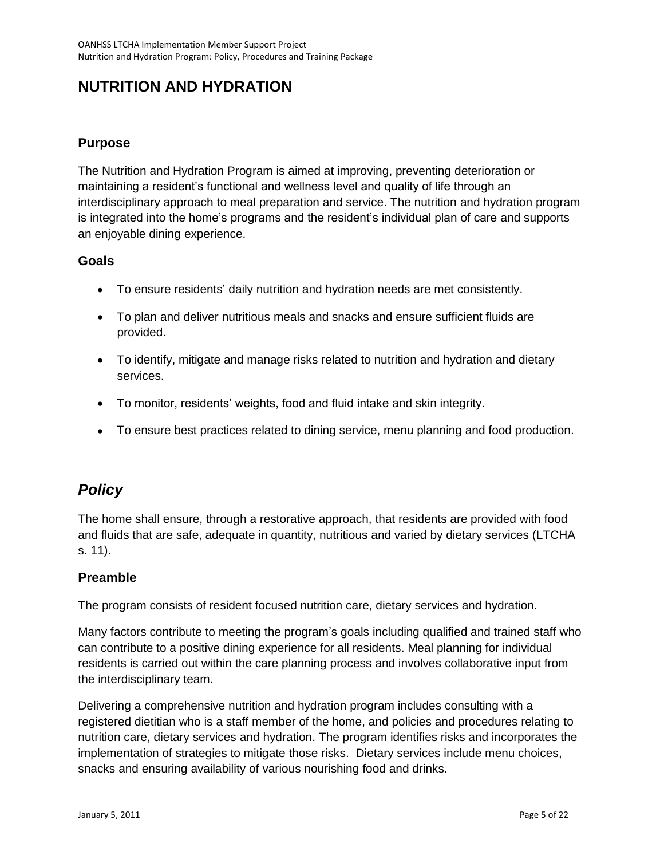# <span id="page-4-0"></span>**NUTRITION AND HYDRATION**

### **Purpose**

The Nutrition and Hydration Program is aimed at improving, preventing deterioration or maintaining a resident's functional and wellness level and quality of life through an interdisciplinary approach to meal preparation and service. The nutrition and hydration program is integrated into the home's programs and the resident's individual plan of care and supports an enjoyable dining experience.

#### **Goals**

- To ensure residents' daily nutrition and hydration needs are met consistently.
- To plan and deliver nutritious meals and snacks and ensure sufficient fluids are provided.
- To identify, mitigate and manage risks related to nutrition and hydration and dietary services.
- To monitor, residents' weights, food and fluid intake and skin integrity.
- To ensure best practices related to dining service, menu planning and food production.

# <span id="page-4-1"></span>*Policy*

The home shall ensure, through a restorative approach, that residents are provided with food and fluids that are safe, adequate in quantity, nutritious and varied by dietary services (LTCHA s. 11).

### **Preamble**

The program consists of resident focused nutrition care, dietary services and hydration.

Many factors contribute to meeting the program's goals including qualified and trained staff who can contribute to a positive dining experience for all residents. Meal planning for individual residents is carried out within the care planning process and involves collaborative input from the interdisciplinary team.

Delivering a comprehensive nutrition and hydration program includes consulting with a registered dietitian who is a staff member of the home, and policies and procedures relating to nutrition care, dietary services and hydration. The program identifies risks and incorporates the implementation of strategies to mitigate those risks. Dietary services include menu choices, snacks and ensuring availability of various nourishing food and drinks.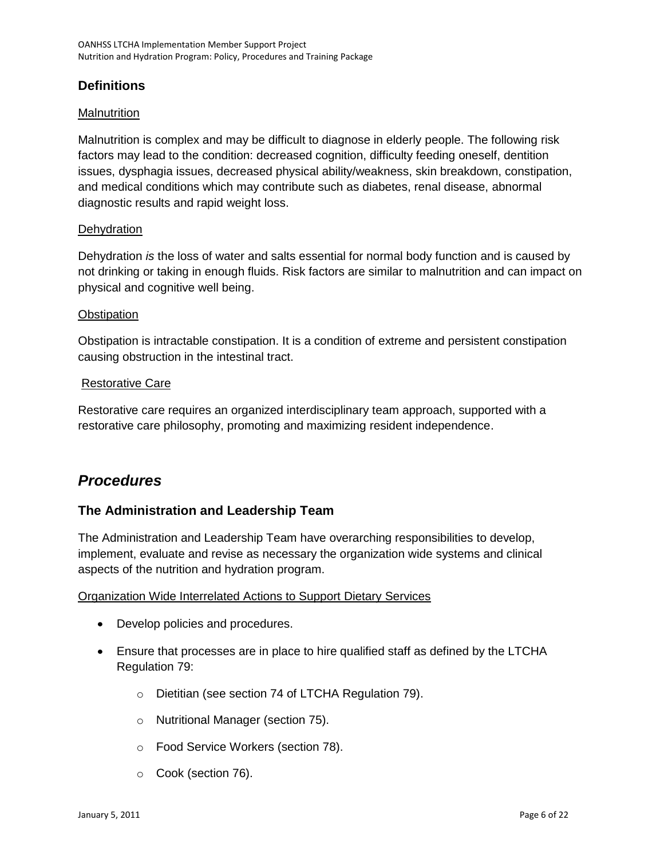## **Definitions**

#### **Malnutrition**

Malnutrition is complex and may be difficult to diagnose in elderly people. The following risk factors may lead to the condition: decreased cognition, difficulty feeding oneself, dentition issues, dysphagia issues, decreased physical ability/weakness, skin breakdown, constipation, and medical conditions which may contribute such as diabetes, renal disease, abnormal diagnostic results and rapid weight loss.

#### **Dehydration**

Dehydration *is* the loss of water and salts essential for normal body function and is caused by not drinking or taking in enough fluids. Risk factors are similar to malnutrition and can impact on physical and cognitive well being.

#### **Obstipation**

Obstipation is intractable constipation. It is a condition of extreme and persistent constipation causing obstruction in the intestinal tract.

#### Restorative Care

Restorative care requires an organized interdisciplinary team approach, supported with a restorative care philosophy, promoting and maximizing resident independence.

# <span id="page-5-0"></span>*Procedures*

### **The Administration and Leadership Team**

The Administration and Leadership Team have overarching responsibilities to develop, implement, evaluate and revise as necessary the organization wide systems and clinical aspects of the nutrition and hydration program.

#### Organization Wide Interrelated Actions to Support Dietary Services

- Develop policies and procedures.
- Ensure that processes are in place to hire qualified staff as defined by the LTCHA Regulation 79:
	- o Dietitian (see section 74 of LTCHA Regulation 79).
	- o Nutritional Manager (section 75).
	- o Food Service Workers (section 78).
	- o Cook (section 76).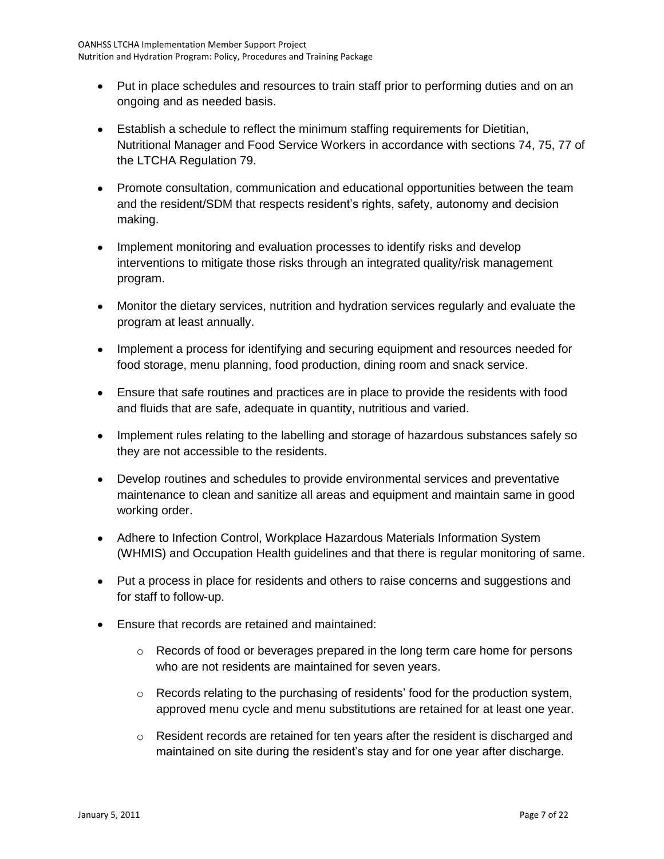- Put in place schedules and resources to train staff prior to performing duties and on an ongoing and as needed basis.
- Establish a schedule to reflect the minimum staffing requirements for Dietitian, Nutritional Manager and Food Service Workers in accordance with sections 74, 75, 77 of the LTCHA Regulation 79.
- Promote consultation, communication and educational opportunities between the team and the resident/SDM that respects resident's rights, safety, autonomy and decision making.
- Implement monitoring and evaluation processes to identify risks and develop interventions to mitigate those risks through an integrated quality/risk management program.
- Monitor the dietary services, nutrition and hydration services regularly and evaluate the program at least annually.
- Implement a process for identifying and securing equipment and resources needed for food storage, menu planning, food production, dining room and snack service.
- Ensure that safe routines and practices are in place to provide the residents with food and fluids that are safe, adequate in quantity, nutritious and varied.
- Implement rules relating to the labelling and storage of hazardous substances safely so they are not accessible to the residents.
- Develop routines and schedules to provide environmental services and preventative maintenance to clean and sanitize all areas and equipment and maintain same in good working order.
- Adhere to Infection Control, Workplace Hazardous Materials Information System (WHMIS) and Occupation Health guidelines and that there is regular monitoring of same.
- Put a process in place for residents and others to raise concerns and suggestions and for staff to follow-up.
- Ensure that records are retained and maintained:
	- $\circ$  Records of food or beverages prepared in the long term care home for persons who are not residents are maintained for seven years.
	- $\circ$  Records relating to the purchasing of residents' food for the production system, approved menu cycle and menu substitutions are retained for at least one year.
	- o Resident records are retained for ten years after the resident is discharged and maintained on site during the resident's stay and for one year after discharge.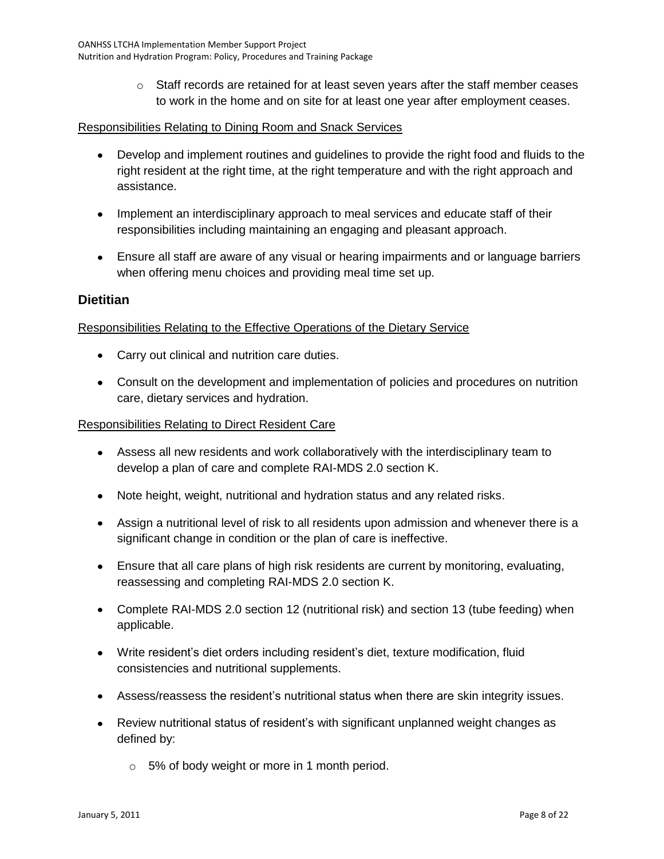$\circ$  Staff records are retained for at least seven years after the staff member ceases to work in the home and on site for at least one year after employment ceases.

#### Responsibilities Relating to Dining Room and Snack Services

- Develop and implement routines and guidelines to provide the right food and fluids to the right resident at the right time, at the right temperature and with the right approach and assistance.
- Implement an interdisciplinary approach to meal services and educate staff of their responsibilities including maintaining an engaging and pleasant approach.
- Ensure all staff are aware of any visual or hearing impairments and or language barriers when offering menu choices and providing meal time set up.

#### **Dietitian**

#### Responsibilities Relating to the Effective Operations of the Dietary Service

- Carry out clinical and nutrition care duties.
- Consult on the development and implementation of policies and procedures on nutrition care, dietary services and hydration.

#### Responsibilities Relating to Direct Resident Care

- Assess all new residents and work collaboratively with the interdisciplinary team to develop a plan of care and complete RAI-MDS 2.0 section K.
- Note height, weight, nutritional and hydration status and any related risks.
- Assign a nutritional level of risk to all residents upon admission and whenever there is a significant change in condition or the plan of care is ineffective.
- Ensure that all care plans of high risk residents are current by monitoring, evaluating, reassessing and completing RAI-MDS 2.0 section K.
- Complete RAI-MDS 2.0 section 12 (nutritional risk) and section 13 (tube feeding) when applicable.
- Write resident's diet orders including resident's diet, texture modification, fluid consistencies and nutritional supplements.
- Assess/reassess the resident's nutritional status when there are skin integrity issues.
- Review nutritional status of resident's with significant unplanned weight changes as defined by:
	- o 5% of body weight or more in 1 month period.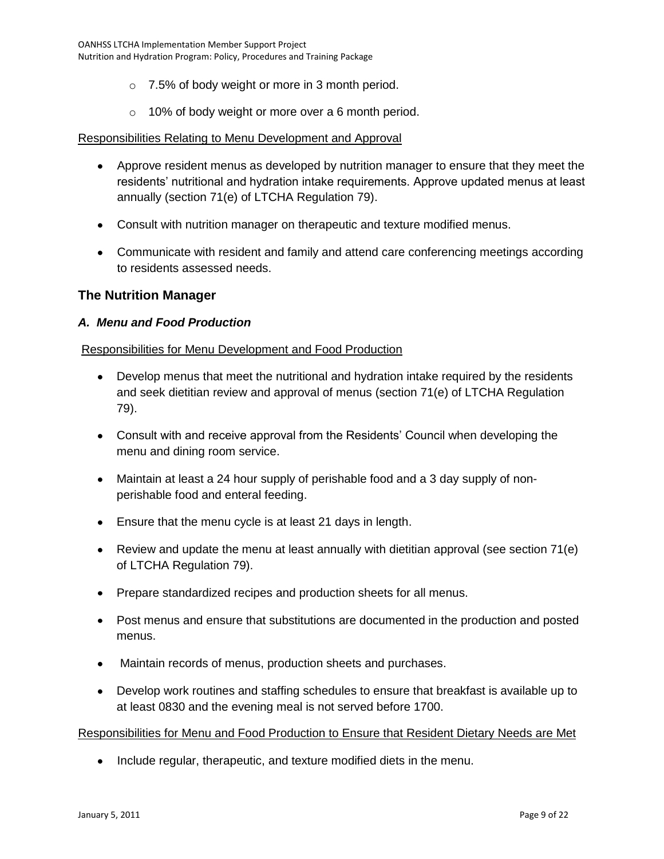- o 7.5% of body weight or more in 3 month period.
- o 10% of body weight or more over a 6 month period.

#### Responsibilities Relating to Menu Development and Approval

- Approve resident menus as developed by nutrition manager to ensure that they meet the residents' nutritional and hydration intake requirements. Approve updated menus at least annually (section 71(e) of LTCHA Regulation 79).
- Consult with nutrition manager on therapeutic and texture modified menus.
- Communicate with resident and family and attend care conferencing meetings according to residents assessed needs.

#### **The Nutrition Manager**

#### *A. Menu and Food Production*

#### Responsibilities for Menu Development and Food Production

- Develop menus that meet the nutritional and hydration intake required by the residents and seek dietitian review and approval of menus (section 71(e) of LTCHA Regulation 79).
- Consult with and receive approval from the Residents' Council when developing the menu and dining room service.
- Maintain at least a 24 hour supply of perishable food and a 3 day supply of nonperishable food and enteral feeding.
- Ensure that the menu cycle is at least 21 days in length.
- Review and update the menu at least annually with dietitian approval (see section 71(e) of LTCHA Regulation 79).
- Prepare standardized recipes and production sheets for all menus.
- Post menus and ensure that substitutions are documented in the production and posted menus.
- Maintain records of menus, production sheets and purchases.  $\bullet$
- Develop work routines and staffing schedules to ensure that breakfast is available up to at least 0830 and the evening meal is not served before 1700.

#### Responsibilities for Menu and Food Production to Ensure that Resident Dietary Needs are Met

• Include regular, therapeutic, and texture modified diets in the menu.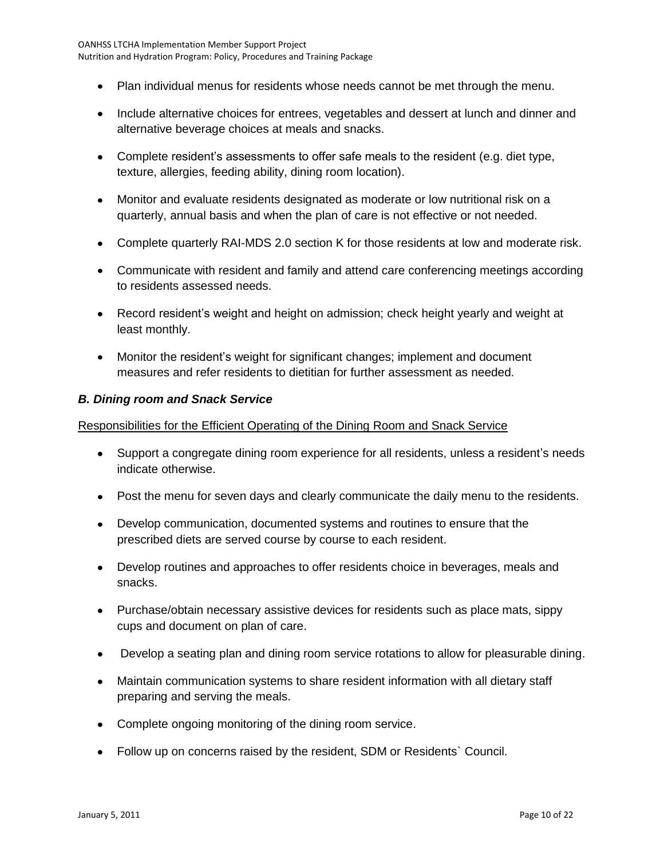- Plan individual menus for residents whose needs cannot be met through the menu.
- Include alternative choices for entrees, vegetables and dessert at lunch and dinner and alternative beverage choices at meals and snacks.
- Complete resident's assessments to offer safe meals to the resident (e.g. diet type, texture, allergies, feeding ability, dining room location).
- Monitor and evaluate residents designated as moderate or low nutritional risk on a quarterly, annual basis and when the plan of care is not effective or not needed.
- Complete quarterly RAI-MDS 2.0 section K for those residents at low and moderate risk.
- Communicate with resident and family and attend care conferencing meetings according to residents assessed needs.
- Record resident's weight and height on admission; check height yearly and weight at least monthly.
- Monitor the resident's weight for significant changes; implement and document measures and refer residents to dietitian for further assessment as needed.

#### *B. Dining room and Snack Service*

#### Responsibilities for the Efficient Operating of the Dining Room and Snack Service

- Support a congregate dining room experience for all residents, unless a resident's needs indicate otherwise.
- Post the menu for seven days and clearly communicate the daily menu to the residents.
- Develop communication, documented systems and routines to ensure that the prescribed diets are served course by course to each resident.
- Develop routines and approaches to offer residents choice in beverages, meals and snacks.
- Purchase/obtain necessary assistive devices for residents such as place mats, sippy cups and document on plan of care.
- Develop a seating plan and dining room service rotations to allow for pleasurable dining.  $\bullet$
- Maintain communication systems to share resident information with all dietary staff  $\bullet$ preparing and serving the meals.
- Complete ongoing monitoring of the dining room service.
- Follow up on concerns raised by the resident, SDM or Residents` Council.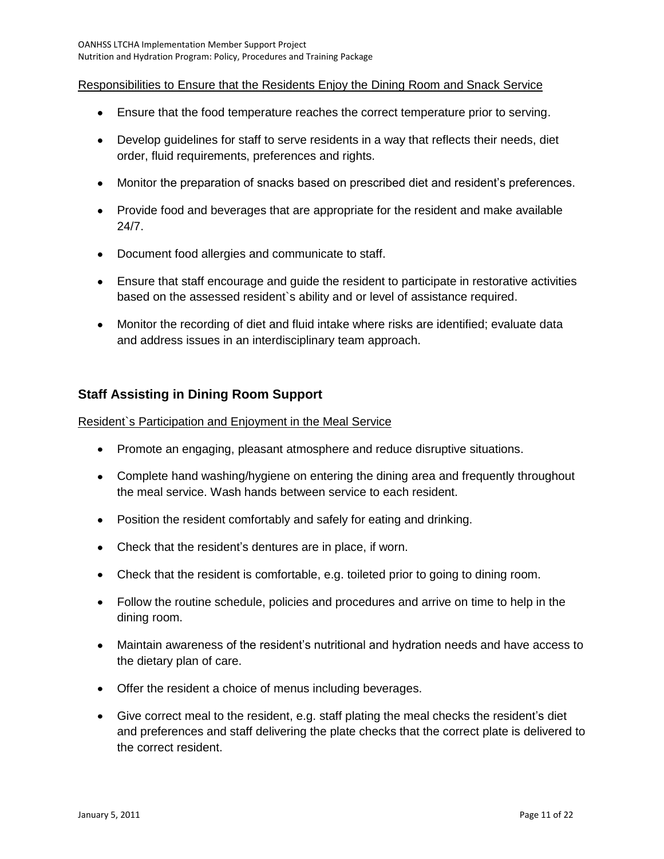#### Responsibilities to Ensure that the Residents Enjoy the Dining Room and Snack Service

- Ensure that the food temperature reaches the correct temperature prior to serving.
- Develop guidelines for staff to serve residents in a way that reflects their needs, diet order, fluid requirements, preferences and rights.
- Monitor the preparation of snacks based on prescribed diet and resident's preferences.
- Provide food and beverages that are appropriate for the resident and make available 24/7.
- Document food allergies and communicate to staff.
- Ensure that staff encourage and guide the resident to participate in restorative activities based on the assessed resident`s ability and or level of assistance required.
- Monitor the recording of diet and fluid intake where risks are identified; evaluate data and address issues in an interdisciplinary team approach.

#### **Staff Assisting in Dining Room Support**

#### Resident`s Participation and Enjoyment in the Meal Service

- Promote an engaging, pleasant atmosphere and reduce disruptive situations.
- Complete hand washing/hygiene on entering the dining area and frequently throughout the meal service. Wash hands between service to each resident.
- Position the resident comfortably and safely for eating and drinking.
- Check that the resident's dentures are in place, if worn.
- Check that the resident is comfortable, e.g. toileted prior to going to dining room.
- Follow the routine schedule, policies and procedures and arrive on time to help in the dining room.
- Maintain awareness of the resident's nutritional and hydration needs and have access to the dietary plan of care.
- Offer the resident a choice of menus including beverages.
- Give correct meal to the resident, e.g. staff plating the meal checks the resident's diet and preferences and staff delivering the plate checks that the correct plate is delivered to the correct resident.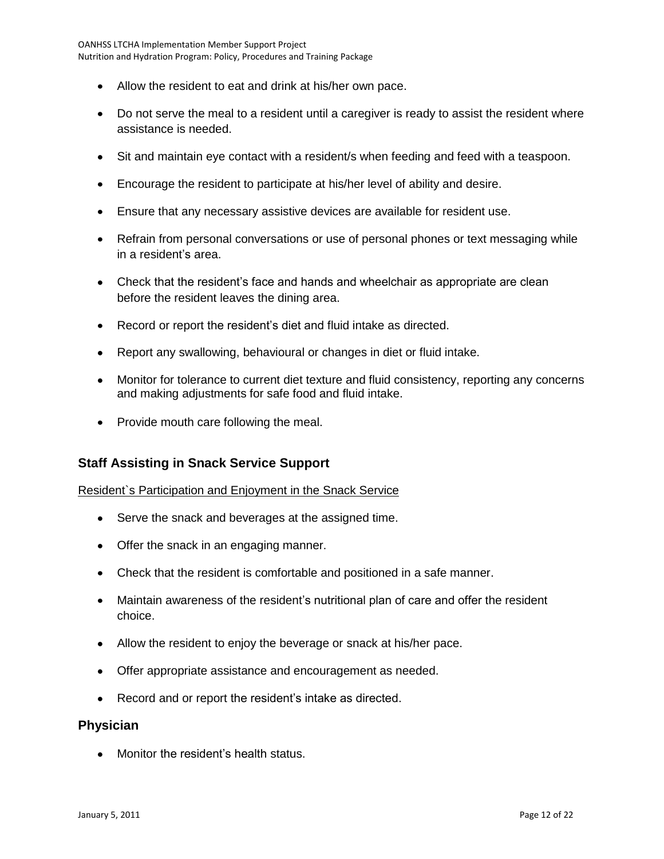- Allow the resident to eat and drink at his/her own pace.
- Do not serve the meal to a resident until a caregiver is ready to assist the resident where assistance is needed.
- Sit and maintain eye contact with a resident/s when feeding and feed with a teaspoon.
- Encourage the resident to participate at his/her level of ability and desire.
- Ensure that any necessary assistive devices are available for resident use.
- Refrain from personal conversations or use of personal phones or text messaging while in a resident's area.
- Check that the resident's face and hands and wheelchair as appropriate are clean before the resident leaves the dining area.
- Record or report the resident's diet and fluid intake as directed.
- Report any swallowing, behavioural or changes in diet or fluid intake.  $\bullet$
- Monitor for tolerance to current diet texture and fluid consistency, reporting any concerns and making adjustments for safe food and fluid intake.
- Provide mouth care following the meal.

#### **Staff Assisting in Snack Service Support**

#### Resident`s Participation and Enjoyment in the Snack Service

- Serve the snack and beverages at the assigned time.
- Offer the snack in an engaging manner.
- Check that the resident is comfortable and positioned in a safe manner.
- Maintain awareness of the resident's nutritional plan of care and offer the resident choice.
- Allow the resident to enjoy the beverage or snack at his/her pace.
- Offer appropriate assistance and encouragement as needed.
- Record and or report the resident's intake as directed.

#### **Physician**

• Monitor the resident's health status.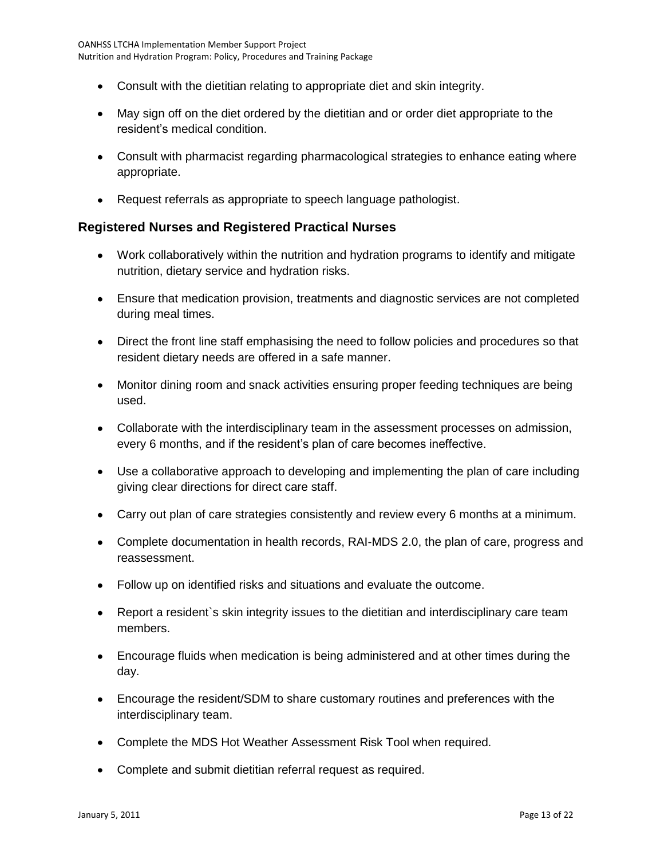- Consult with the dietitian relating to appropriate diet and skin integrity.
- May sign off on the diet ordered by the dietitian and or order diet appropriate to the resident's medical condition.
- Consult with pharmacist regarding pharmacological strategies to enhance eating where appropriate.
- Request referrals as appropriate to speech language pathologist.

### **Registered Nurses and Registered Practical Nurses**

- Work collaboratively within the nutrition and hydration programs to identify and mitigate nutrition, dietary service and hydration risks.
- Ensure that medication provision, treatments and diagnostic services are not completed during meal times.
- Direct the front line staff emphasising the need to follow policies and procedures so that resident dietary needs are offered in a safe manner.
- Monitor dining room and snack activities ensuring proper feeding techniques are being used.
- Collaborate with the interdisciplinary team in the assessment processes on admission, every 6 months, and if the resident's plan of care becomes ineffective.
- Use a collaborative approach to developing and implementing the plan of care including giving clear directions for direct care staff.
- Carry out plan of care strategies consistently and review every 6 months at a minimum.
- Complete documentation in health records, RAI-MDS 2.0, the plan of care, progress and reassessment.
- Follow up on identified risks and situations and evaluate the outcome.
- Report a resident`s skin integrity issues to the dietitian and interdisciplinary care team members.
- Encourage fluids when medication is being administered and at other times during the day.
- Encourage the resident/SDM to share customary routines and preferences with the interdisciplinary team.
- Complete the MDS Hot Weather Assessment Risk Tool when required.
- Complete and submit dietitian referral request as required.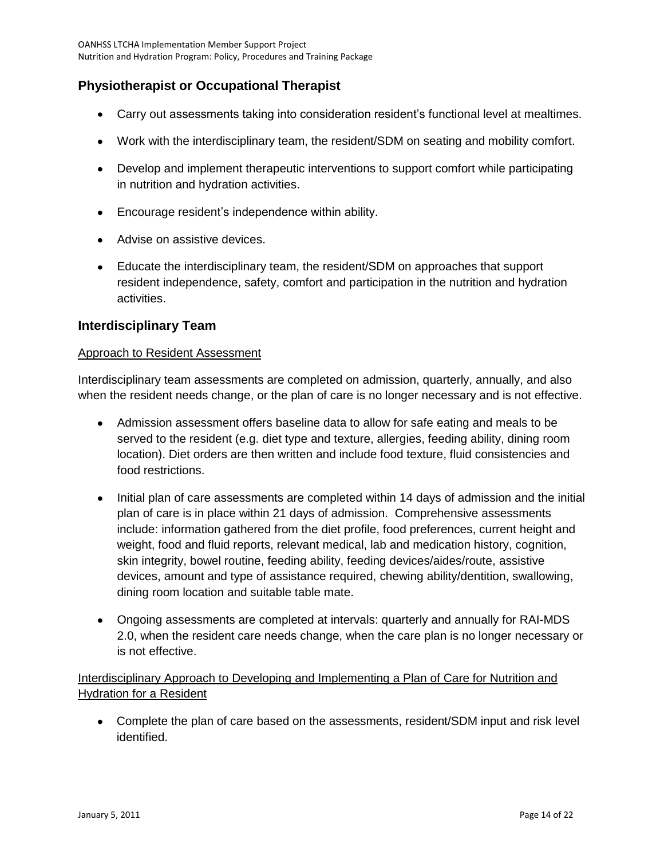## **Physiotherapist or Occupational Therapist**

- Carry out assessments taking into consideration resident's functional level at mealtimes.
- Work with the interdisciplinary team, the resident/SDM on seating and mobility comfort.
- Develop and implement therapeutic interventions to support comfort while participating in nutrition and hydration activities.
- Encourage resident's independence within ability.
- Advise on assistive devices.
- Educate the interdisciplinary team, the resident/SDM on approaches that support resident independence, safety, comfort and participation in the nutrition and hydration activities.

#### **Interdisciplinary Team**

#### Approach to Resident Assessment

Interdisciplinary team assessments are completed on admission, quarterly, annually, and also when the resident needs change, or the plan of care is no longer necessary and is not effective.

- Admission assessment offers baseline data to allow for safe eating and meals to be served to the resident (e.g. diet type and texture, allergies, feeding ability, dining room location). Diet orders are then written and include food texture, fluid consistencies and food restrictions.
- Initial plan of care assessments are completed within 14 days of admission and the initial plan of care is in place within 21 days of admission. Comprehensive assessments include: information gathered from the diet profile, food preferences, current height and weight, food and fluid reports, relevant medical, lab and medication history, cognition, skin integrity, bowel routine, feeding ability, feeding devices/aides/route, assistive devices, amount and type of assistance required, chewing ability/dentition, swallowing, dining room location and suitable table mate.
- Ongoing assessments are completed at intervals: quarterly and annually for RAI-MDS 2.0, when the resident care needs change, when the care plan is no longer necessary or is not effective.

#### Interdisciplinary Approach to Developing and Implementing a Plan of Care for Nutrition and Hydration for a Resident

Complete the plan of care based on the assessments, resident/SDM input and risk level identified.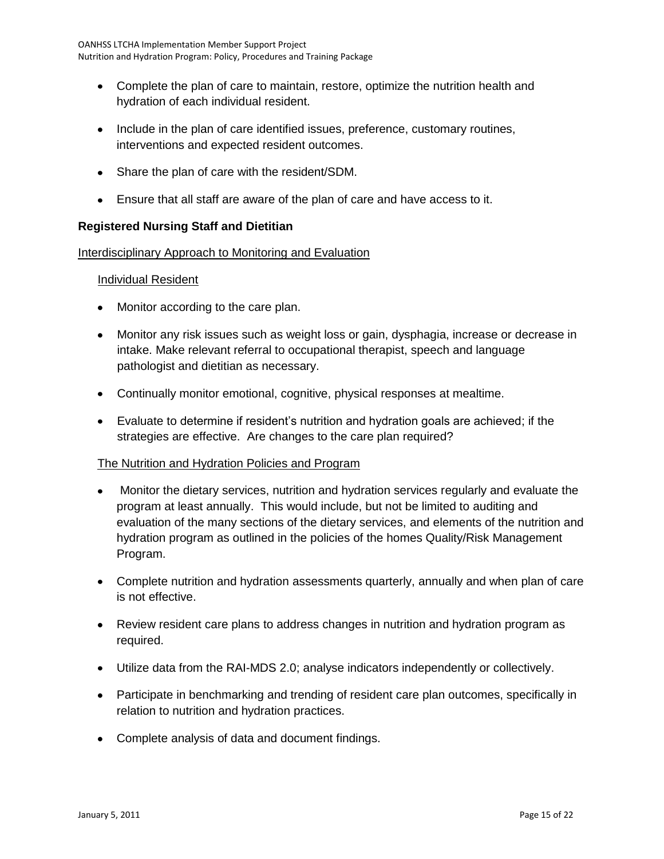- Complete the plan of care to maintain, restore, optimize the nutrition health and hydration of each individual resident.
- Include in the plan of care identified issues, preference, customary routines, interventions and expected resident outcomes.
- Share the plan of care with the resident/SDM.
- Ensure that all staff are aware of the plan of care and have access to it.

#### **Registered Nursing Staff and Dietitian**

#### Interdisciplinary Approach to Monitoring and Evaluation

#### Individual Resident

- Monitor according to the care plan.
- Monitor any risk issues such as weight loss or gain, dysphagia, increase or decrease in intake. Make relevant referral to occupational therapist, speech and language pathologist and dietitian as necessary.
- Continually monitor emotional, cognitive, physical responses at mealtime.
- Evaluate to determine if resident's nutrition and hydration goals are achieved; if the strategies are effective. Are changes to the care plan required?

#### The Nutrition and Hydration Policies and Program

- Monitor the dietary services, nutrition and hydration services regularly and evaluate the program at least annually. This would include, but not be limited to auditing and evaluation of the many sections of the dietary services, and elements of the nutrition and hydration program as outlined in the policies of the homes Quality/Risk Management Program.
- Complete nutrition and hydration assessments quarterly, annually and when plan of care is not effective.
- Review resident care plans to address changes in nutrition and hydration program as required.
- Utilize data from the RAI-MDS 2.0; analyse indicators independently or collectively.
- Participate in benchmarking and trending of resident care plan outcomes, specifically in relation to nutrition and hydration practices.
- Complete analysis of data and document findings.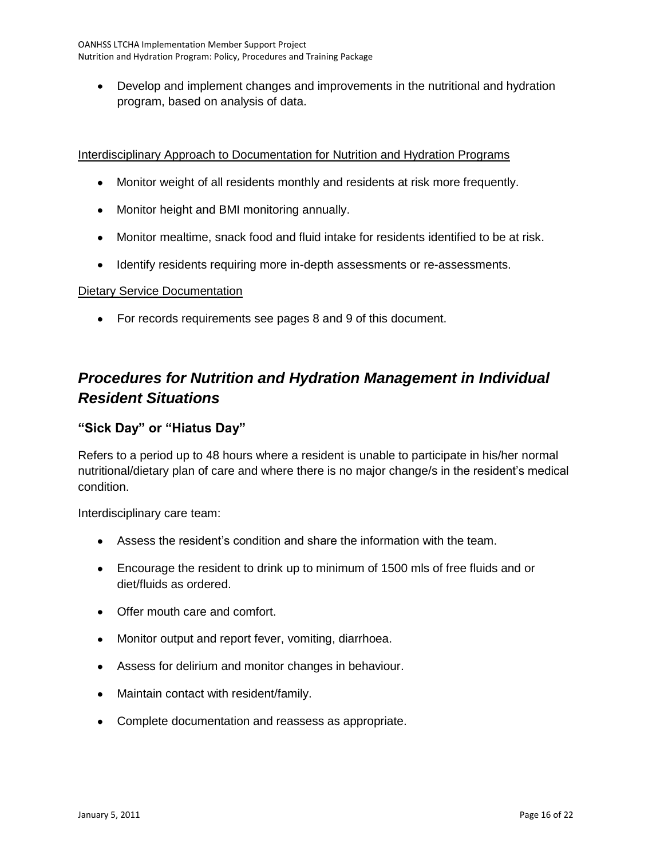Develop and implement changes and improvements in the nutritional and hydration program, based on analysis of data.

#### Interdisciplinary Approach to Documentation for Nutrition and Hydration Programs

- Monitor weight of all residents monthly and residents at risk more frequently.
- Monitor height and BMI monitoring annually.
- Monitor mealtime, snack food and fluid intake for residents identified to be at risk.
- Identify residents requiring more in-depth assessments or re-assessments.

#### Dietary Service Documentation

For records requirements see pages 8 and 9 of this document.

# <span id="page-15-0"></span>*Procedures for Nutrition and Hydration Management in Individual Resident Situations*

### **"Sick Day" or "Hiatus Day"**

Refers to a period up to 48 hours where a resident is unable to participate in his/her normal nutritional/dietary plan of care and where there is no major change/s in the resident's medical condition.

Interdisciplinary care team:

- Assess the resident's condition and share the information with the team.
- Encourage the resident to drink up to minimum of 1500 mls of free fluids and or diet/fluids as ordered.
- Offer mouth care and comfort.
- Monitor output and report fever, vomiting, diarrhoea.
- Assess for delirium and monitor changes in behaviour.
- Maintain contact with resident/family.
- Complete documentation and reassess as appropriate.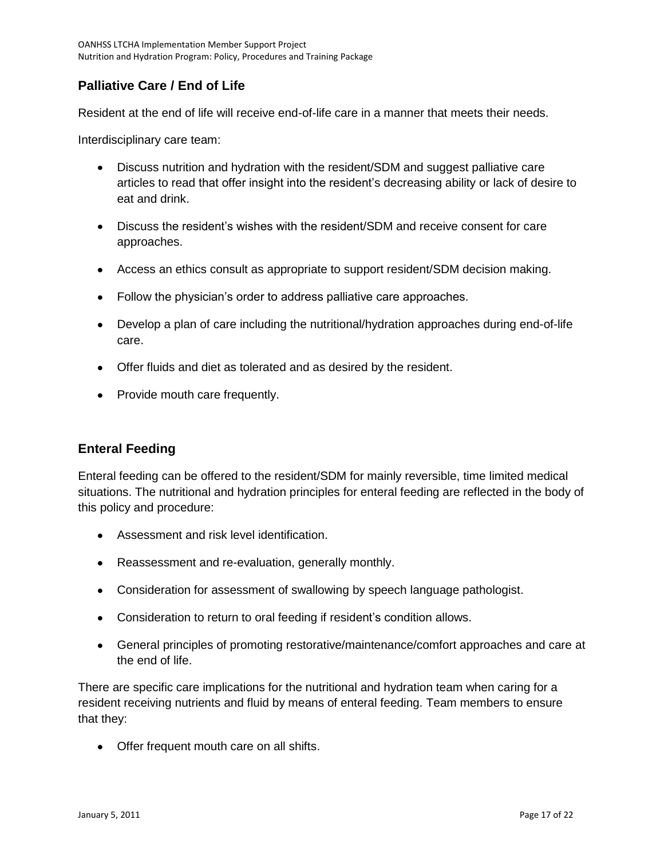## **Palliative Care / End of Life**

Resident at the end of life will receive end-of-life care in a manner that meets their needs.

Interdisciplinary care team:

- Discuss nutrition and hydration with the resident/SDM and suggest palliative care articles to read that offer insight into the resident's decreasing ability or lack of desire to eat and drink.
- Discuss the resident's wishes with the resident/SDM and receive consent for care approaches.
- Access an ethics consult as appropriate to support resident/SDM decision making.
- Follow the physician's order to address palliative care approaches.
- Develop a plan of care including the nutritional/hydration approaches during end-of-life care.
- Offer fluids and diet as tolerated and as desired by the resident.
- Provide mouth care frequently.

#### **Enteral Feeding**

Enteral feeding can be offered to the resident/SDM for mainly reversible, time limited medical situations. The nutritional and hydration principles for enteral feeding are reflected in the body of this policy and procedure:

- Assessment and risk level identification.
- Reassessment and re-evaluation, generally monthly.
- Consideration for assessment of swallowing by speech language pathologist.
- Consideration to return to oral feeding if resident's condition allows.
- General principles of promoting restorative/maintenance/comfort approaches and care at the end of life.

There are specific care implications for the nutritional and hydration team when caring for a resident receiving nutrients and fluid by means of enteral feeding. Team members to ensure that they:

Offer frequent mouth care on all shifts.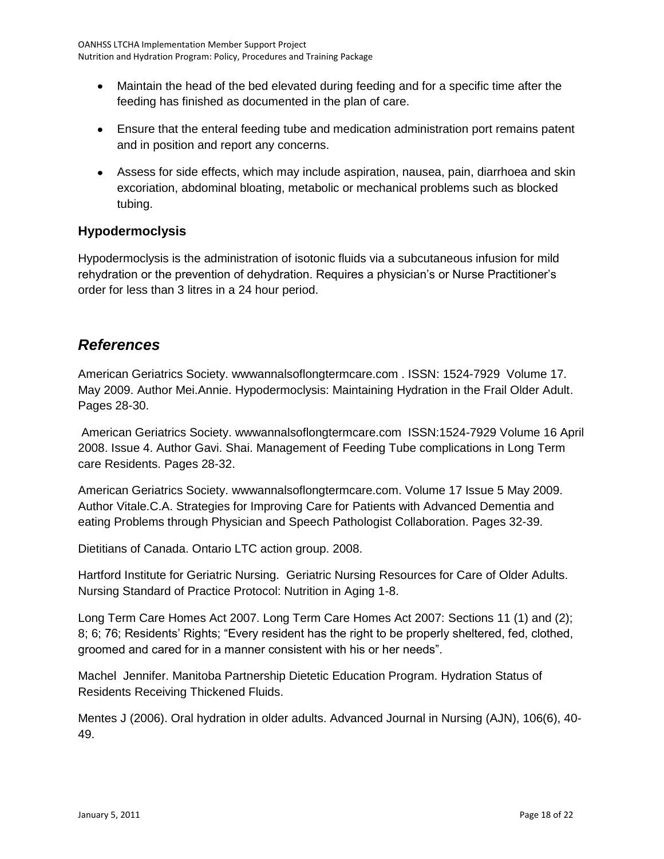- Maintain the head of the bed elevated during feeding and for a specific time after the feeding has finished as documented in the plan of care.
- Ensure that the enteral feeding tube and medication administration port remains patent and in position and report any concerns.
- Assess for side effects, which may include aspiration, nausea, pain, diarrhoea and skin excoriation, abdominal bloating, metabolic or mechanical problems such as blocked tubing.

## **Hypodermoclysis**

Hypodermoclysis is the administration of isotonic fluids via a subcutaneous infusion for mild rehydration or the prevention of dehydration. Requires a physician's or Nurse Practitioner's order for less than 3 litres in a 24 hour period.

# <span id="page-17-0"></span>*References*

American Geriatrics Society. wwwannalsoflongtermcare.com . ISSN: 1524-7929 Volume 17. May 2009. Author Mei.Annie. Hypodermoclysis: Maintaining Hydration in the Frail Older Adult. Pages 28-30.

American Geriatrics Society. wwwannalsoflongtermcare.com ISSN:1524-7929 Volume 16 April 2008. Issue 4. Author Gavi. Shai. Management of Feeding Tube complications in Long Term care Residents. Pages 28-32.

American Geriatrics Society. wwwannalsoflongtermcare.com. Volume 17 Issue 5 May 2009. Author Vitale.C.A. Strategies for Improving Care for Patients with Advanced Dementia and eating Problems through Physician and Speech Pathologist Collaboration. Pages 32-39.

Dietitians of Canada. Ontario LTC action group. 2008.

Hartford Institute for Geriatric Nursing. Geriatric Nursing Resources for Care of Older Adults. Nursing Standard of Practice Protocol: Nutrition in Aging 1-8.

Long Term Care Homes Act 2007. Long Term Care Homes Act 2007: Sections 11 (1) and (2); 8; 6; 76; Residents' Rights; "Every resident has the right to be properly sheltered, fed, clothed, groomed and cared for in a manner consistent with his or her needs".

Machel Jennifer. Manitoba Partnership Dietetic Education Program. Hydration Status of Residents Receiving Thickened Fluids.

Mentes J (2006). Oral hydration in older adults. Advanced Journal in Nursing (AJN), 106(6), 40- 49.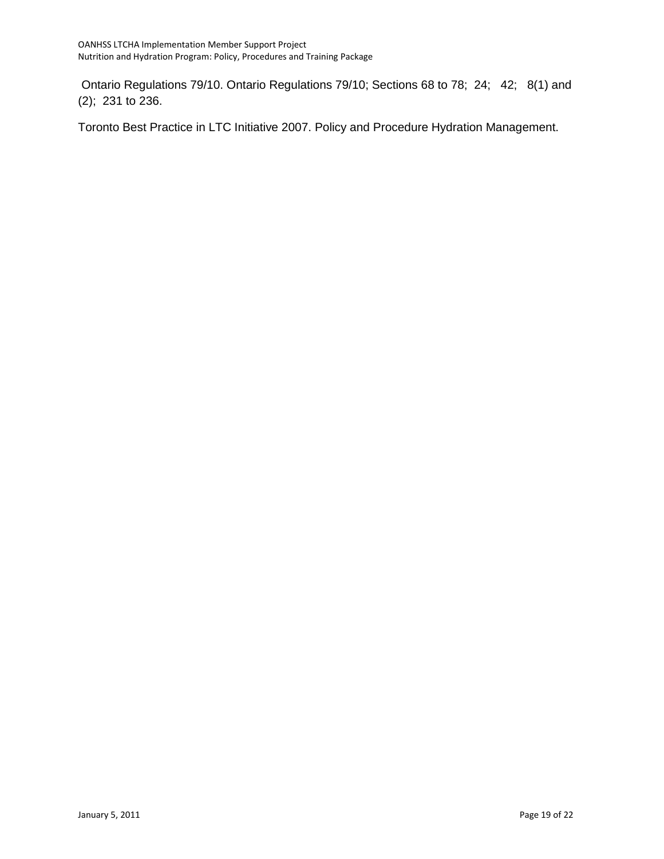Ontario Regulations 79/10. Ontario Regulations 79/10; Sections 68 to 78; 24; 42; 8(1) and (2); 231 to 236.

Toronto Best Practice in LTC Initiative 2007. Policy and Procedure Hydration Management.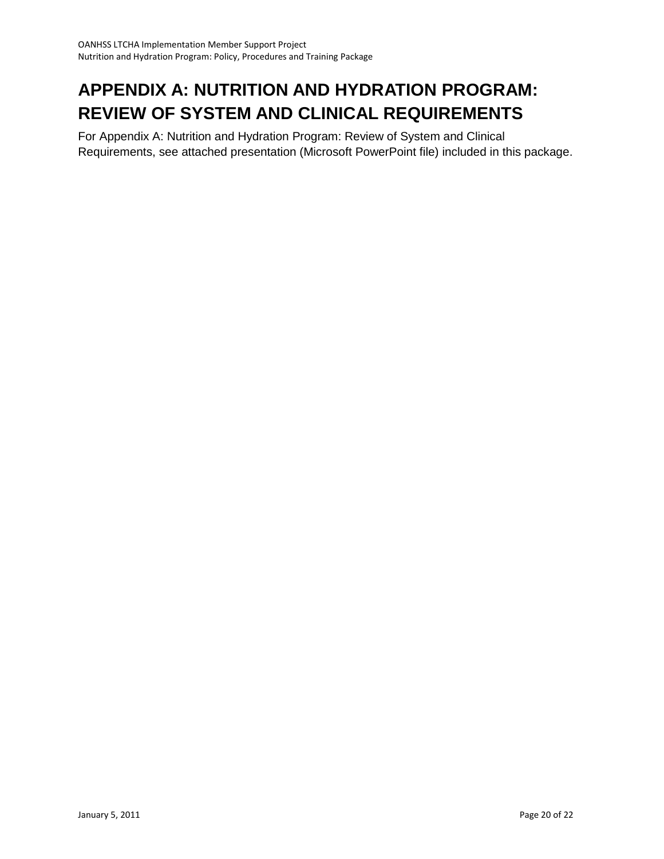# <span id="page-19-0"></span>**APPENDIX A: NUTRITION AND HYDRATION PROGRAM: REVIEW OF SYSTEM AND CLINICAL REQUIREMENTS**

For Appendix A: Nutrition and Hydration Program: Review of System and Clinical Requirements, see attached presentation (Microsoft PowerPoint file) included in this package.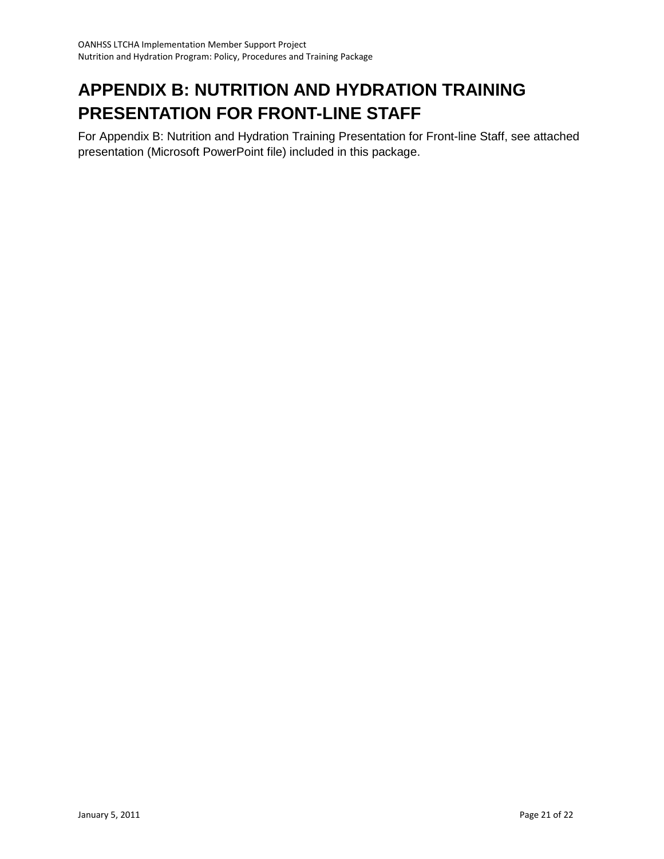# <span id="page-20-0"></span>**APPENDIX B: NUTRITION AND HYDRATION TRAINING PRESENTATION FOR FRONT-LINE STAFF**

For Appendix B: Nutrition and Hydration Training Presentation for Front-line Staff, see attached presentation (Microsoft PowerPoint file) included in this package.